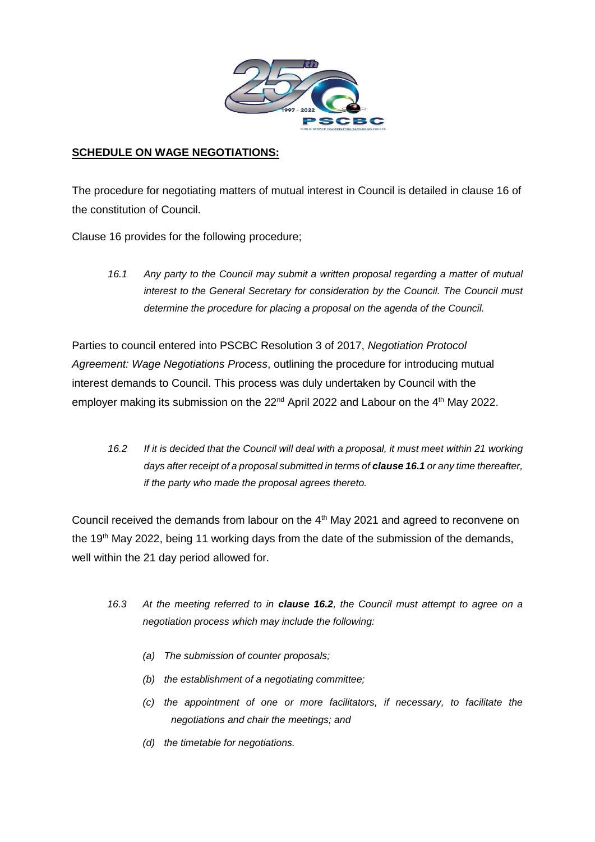

# **SCHEDULE ON WAGE NEGOTIATIONS:**

The procedure for negotiating matters of mutual interest in Council is detailed in clause 16 of the constitution of Council.

Clause 16 provides for the following procedure;

*16.1 Any party to the Council may submit a written proposal regarding a matter of mutual interest to the General Secretary for consideration by the Council. The Council must determine the procedure for placing a proposal on the agenda of the Council.*

Parties to council entered into PSCBC Resolution 3 of 2017, *Negotiation Protocol Agreement: Wage Negotiations Process*, outlining the procedure for introducing mutual interest demands to Council. This process was duly undertaken by Council with the employer making its submission on the 22<sup>nd</sup> April 2022 and Labour on the 4<sup>th</sup> May 2022.

*16.2 If it is decided that the Council will deal with a proposal, it must meet within 21 working days after receipt of a proposal submitted in terms of clause 16.1 or any time thereafter, if the party who made the proposal agrees thereto.*

Council received the demands from labour on the 4<sup>th</sup> May 2021 and agreed to reconvene on the 19<sup>th</sup> May 2022, being 11 working days from the date of the submission of the demands, well within the 21 day period allowed for.

- *16.3 At the meeting referred to in clause 16.2, the Council must attempt to agree on a negotiation process which may include the following:*
	- *(a) The submission of counter proposals;*
	- *(b) the establishment of a negotiating committee;*
	- *(c) the appointment of one or more facilitators, if necessary, to facilitate the negotiations and chair the meetings; and*
	- *(d) the timetable for negotiations.*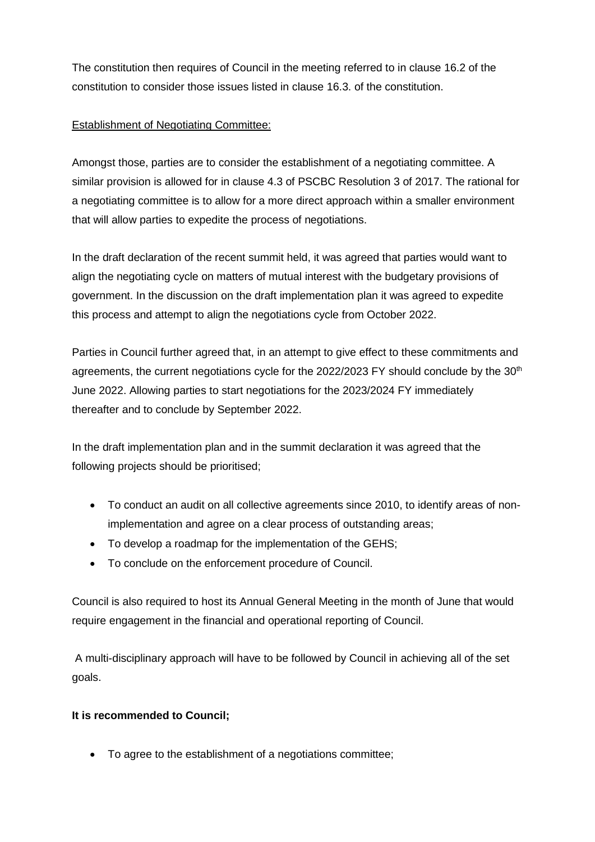The constitution then requires of Council in the meeting referred to in clause 16.2 of the constitution to consider those issues listed in clause 16.3. of the constitution.

# Establishment of Negotiating Committee:

Amongst those, parties are to consider the establishment of a negotiating committee. A similar provision is allowed for in clause 4.3 of PSCBC Resolution 3 of 2017. The rational for a negotiating committee is to allow for a more direct approach within a smaller environment that will allow parties to expedite the process of negotiations.

In the draft declaration of the recent summit held, it was agreed that parties would want to align the negotiating cycle on matters of mutual interest with the budgetary provisions of government. In the discussion on the draft implementation plan it was agreed to expedite this process and attempt to align the negotiations cycle from October 2022.

Parties in Council further agreed that, in an attempt to give effect to these commitments and agreements, the current negotiations cycle for the 2022/2023 FY should conclude by the 30<sup>th</sup> June 2022. Allowing parties to start negotiations for the 2023/2024 FY immediately thereafter and to conclude by September 2022.

In the draft implementation plan and in the summit declaration it was agreed that the following projects should be prioritised;

- To conduct an audit on all collective agreements since 2010, to identify areas of nonimplementation and agree on a clear process of outstanding areas;
- To develop a roadmap for the implementation of the GEHS:
- To conclude on the enforcement procedure of Council.

Council is also required to host its Annual General Meeting in the month of June that would require engagement in the financial and operational reporting of Council.

A multi-disciplinary approach will have to be followed by Council in achieving all of the set goals.

#### **It is recommended to Council;**

To agree to the establishment of a negotiations committee;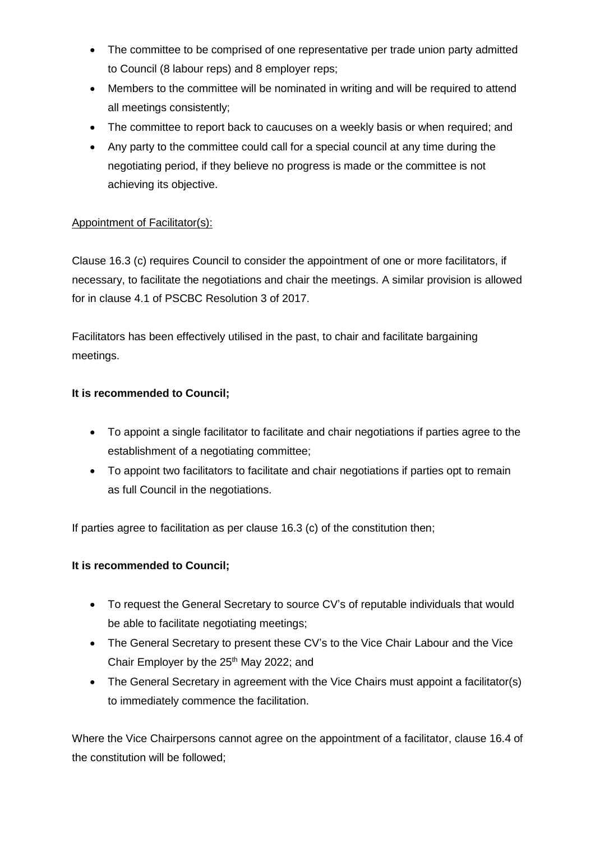- The committee to be comprised of one representative per trade union party admitted to Council (8 labour reps) and 8 employer reps;
- Members to the committee will be nominated in writing and will be required to attend all meetings consistently;
- The committee to report back to caucuses on a weekly basis or when required; and
- Any party to the committee could call for a special council at any time during the negotiating period, if they believe no progress is made or the committee is not achieving its objective.

# Appointment of Facilitator(s):

Clause 16.3 (c) requires Council to consider the appointment of one or more facilitators, if necessary, to facilitate the negotiations and chair the meetings. A similar provision is allowed for in clause 4.1 of PSCBC Resolution 3 of 2017.

Facilitators has been effectively utilised in the past, to chair and facilitate bargaining meetings.

# **It is recommended to Council;**

- To appoint a single facilitator to facilitate and chair negotiations if parties agree to the establishment of a negotiating committee;
- To appoint two facilitators to facilitate and chair negotiations if parties opt to remain as full Council in the negotiations.

If parties agree to facilitation as per clause 16.3 (c) of the constitution then;

# **It is recommended to Council;**

- To request the General Secretary to source CV's of reputable individuals that would be able to facilitate negotiating meetings;
- The General Secretary to present these CV's to the Vice Chair Labour and the Vice Chair Employer by the  $25<sup>th</sup>$  May 2022; and
- The General Secretary in agreement with the Vice Chairs must appoint a facilitator(s) to immediately commence the facilitation.

Where the Vice Chairpersons cannot agree on the appointment of a facilitator, clause 16.4 of the constitution will be followed;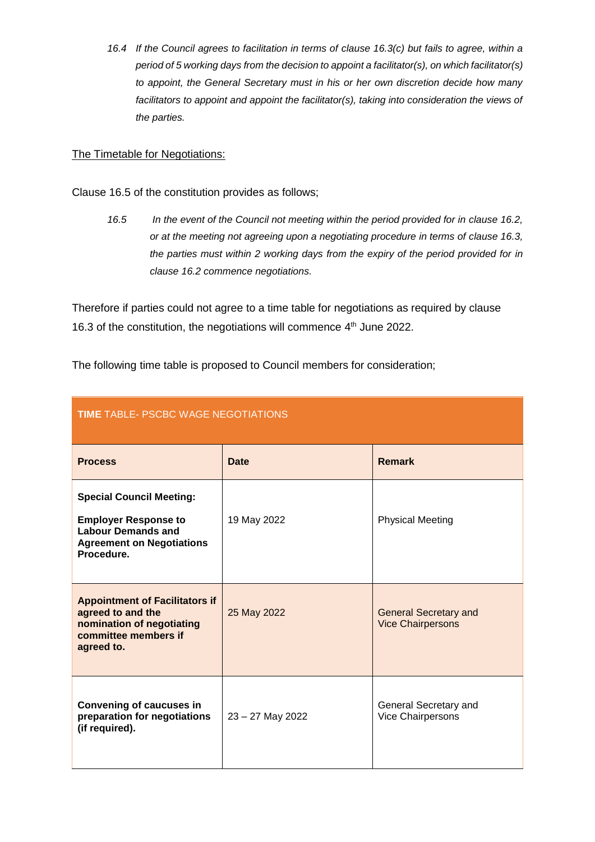*16.4 If the Council agrees to facilitation in terms of clause 16.3(c) but fails to agree, within a period of 5 working days from the decision to appoint a facilitator(s), on which facilitator(s) to appoint, the General Secretary must in his or her own discretion decide how many*  facilitators to appoint and appoint the facilitator(s), taking into consideration the views of *the parties.*

### The Timetable for Negotiations:

- Clause 16.5 of the constitution provides as follows;
	- *16.5 In the event of the Council not meeting within the period provided for in clause 16.2, or at the meeting not agreeing upon a negotiating procedure in terms of clause 16.3, the parties must within 2 working days from the expiry of the period provided for in clause 16.2 commence negotiations.*

Therefore if parties could not agree to a time table for negotiations as required by clause 16.3 of the constitution, the negotiations will commence  $4<sup>th</sup>$  June 2022.

The following time table is proposed to Council members for consideration;

| <b>TIME TABLE- PSCBC WAGE NEGOTIATIONS</b>                                                                                                    |                  |                                                          |  |
|-----------------------------------------------------------------------------------------------------------------------------------------------|------------------|----------------------------------------------------------|--|
| <b>Process</b>                                                                                                                                | <b>Date</b>      | <b>Remark</b>                                            |  |
| <b>Special Council Meeting:</b><br><b>Employer Response to</b><br><b>Labour Demands and</b><br><b>Agreement on Negotiations</b><br>Procedure. | 19 May 2022      | <b>Physical Meeting</b>                                  |  |
| <b>Appointment of Facilitators if</b><br>agreed to and the<br>nomination of negotiating<br>committee members if<br>agreed to.                 | 25 May 2022      | <b>General Secretary and</b><br><b>Vice Chairpersons</b> |  |
| Convening of caucuses in<br>preparation for negotiations<br>(if required).                                                                    | 23 - 27 May 2022 | General Secretary and<br>Vice Chairpersons               |  |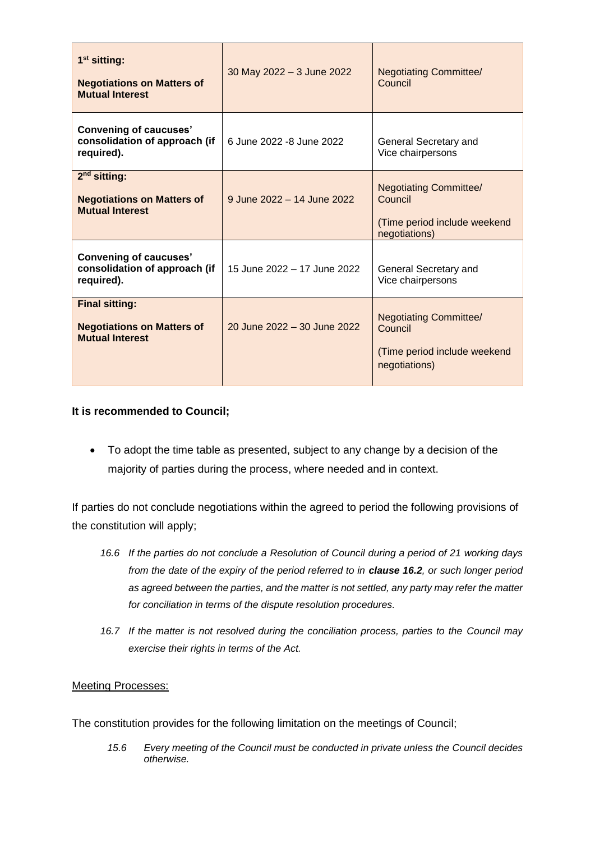| $1st$ sitting:<br><b>Negotiations on Matters of</b><br><b>Mutual Interest</b>        | 30 May 2022 - 3 June 2022   | <b>Negotiating Committee/</b><br>Council                                                  |
|--------------------------------------------------------------------------------------|-----------------------------|-------------------------------------------------------------------------------------------|
| <b>Convening of caucuses'</b><br>consolidation of approach (if<br>required).         | 6 June 2022 - 8 June 2022   | General Secretary and<br>Vice chairpersons                                                |
| $2nd$ sitting:<br><b>Negotiations on Matters of</b><br><b>Mutual Interest</b>        | 9 June 2022 - 14 June 2022  | <b>Negotiating Committee/</b><br>Council<br>(Time period include weekend<br>negotiations) |
| <b>Convening of caucuses'</b><br>consolidation of approach (if<br>required).         | 15 June 2022 - 17 June 2022 | General Secretary and<br>Vice chairpersons                                                |
| <b>Final sitting:</b><br><b>Negotiations on Matters of</b><br><b>Mutual Interest</b> | 20 June 2022 - 30 June 2022 | <b>Negotiating Committee/</b><br>Council<br>(Time period include weekend<br>negotiations) |

### **It is recommended to Council;**

• To adopt the time table as presented, subject to any change by a decision of the majority of parties during the process, where needed and in context.

If parties do not conclude negotiations within the agreed to period the following provisions of the constitution will apply;

- *16.6 If the parties do not conclude a Resolution of Council during a period of 21 working days from the date of the expiry of the period referred to in clause 16.2, or such longer period as agreed between the parties, and the matter is not settled, any party may refer the matter for conciliation in terms of the dispute resolution procedures.*
- *16.7 If the matter is not resolved during the conciliation process, parties to the Council may exercise their rights in terms of the Act.*

#### Meeting Processes:

The constitution provides for the following limitation on the meetings of Council;

*15.6 Every meeting of the Council must be conducted in private unless the Council decides otherwise.*